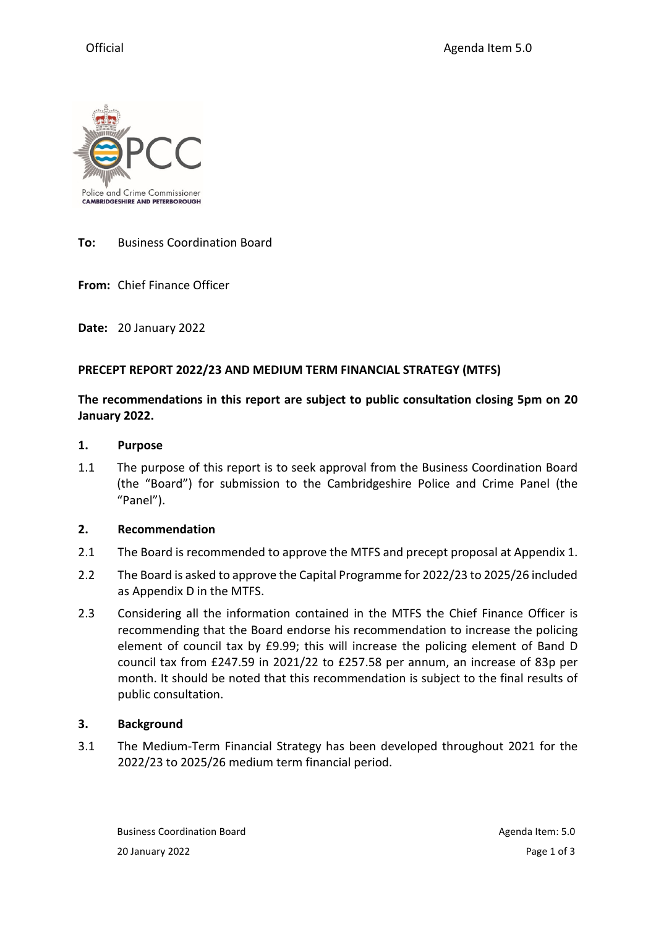

**To:** Business Coordination Board

**From:** Chief Finance Officer

**Date:** 20 January 2022

#### **PRECEPT REPORT 2022/23 AND MEDIUM TERM FINANCIAL STRATEGY (MTFS)**

# **The recommendations in this report are subject to public consultation closing 5pm on 20 January 2022.**

#### **1. Purpose**

1.1 The purpose of this report is to seek approval from the Business Coordination Board (the "Board") for submission to the Cambridgeshire Police and Crime Panel (the "Panel").

#### **2. Recommendation**

- 2.1 The Board is recommended to approve the MTFS and precept proposal at Appendix 1.
- 2.2 The Board is asked to approve the Capital Programme for 2022/23 to 2025/26 included as Appendix D in the MTFS.
- 2.3 Considering all the information contained in the MTFS the Chief Finance Officer is recommending that the Board endorse his recommendation to increase the policing element of council tax by £9.99; this will increase the policing element of Band D council tax from £247.59 in 2021/22 to £257.58 per annum, an increase of 83p per month. It should be noted that this recommendation is subject to the final results of public consultation.

# **3. Background**

3.1 The Medium-Term Financial Strategy has been developed throughout 2021 for the 2022/23 to 2025/26 medium term financial period.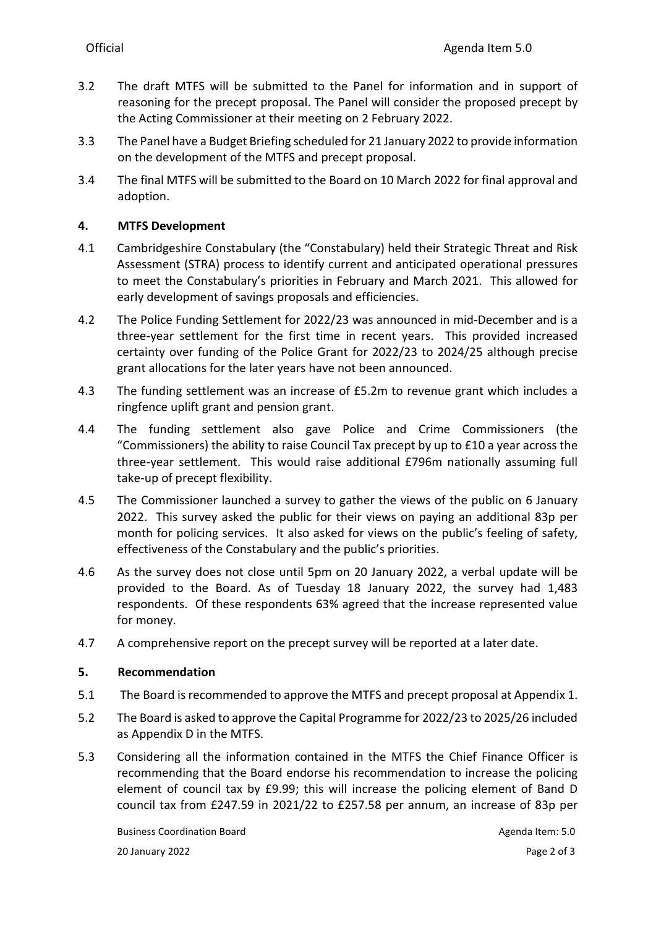- 3.2 The draft MTFS will be submitted to the Panel for information and in support of reasoning for the precept proposal. The Panel will consider the proposed precept by the Acting Commissioner at their meeting on 2 February 2022.
- 3.3 The Panel have a Budget Briefing scheduled for 21 January 2022 to provide information on the development of the MTFS and precept proposal.
- 3.4 The final MTFS will be submitted to the Board on 10 March 2022 for final approval and adoption.

# **4. MTFS Development**

- 4.1 Cambridgeshire Constabulary (the "Constabulary) held their Strategic Threat and Risk Assessment (STRA) process to identify current and anticipated operational pressures to meet the Constabulary's priorities in February and March 2021. This allowed for early development of savings proposals and efficiencies.
- 4.2 The Police Funding Settlement for 2022/23 was announced in mid-December and is a three-year settlement for the first time in recent years. This provided increased certainty over funding of the Police Grant for 2022/23 to 2024/25 although precise grant allocations for the later years have not been announced.
- 4.3 The funding settlement was an increase of £5.2m to revenue grant which includes a ringfence uplift grant and pension grant.
- 4.4 The funding settlement also gave Police and Crime Commissioners (the "Commissioners) the ability to raise Council Tax precept by up to £10 a year across the three-year settlement. This would raise additional £796m nationally assuming full take-up of precept flexibility.
- 4.5 The Commissioner launched a survey to gather the views of the public on 6 January 2022. This survey asked the public for their views on paying an additional 83p per month for policing services. It also asked for views on the public's feeling of safety, effectiveness of the Constabulary and the public's priorities.
- 4.6 As the survey does not close until 5pm on 20 January 2022, a verbal update will be provided to the Board. As of Tuesday 18 January 2022, the survey had 1,483 respondents. Of these respondents 63% agreed that the increase represented value for money.
- 4.7 A comprehensive report on the precept survey will be reported at a later date.

# **5. Recommendation**

- 5.1 The Board is recommended to approve the MTFS and precept proposal at Appendix 1.
- 5.2 The Board is asked to approve the Capital Programme for 2022/23 to 2025/26 included as Appendix D in the MTFS.
- 5.3 Considering all the information contained in the MTFS the Chief Finance Officer is recommending that the Board endorse his recommendation to increase the policing element of council tax by £9.99; this will increase the policing element of Band D council tax from £247.59 in 2021/22 to £257.58 per annum, an increase of 83p per